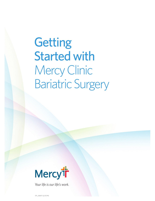# **Getting** Started with Mercy Clinic Bariatric Surgery



*Your life is our life's work.*

STL\_36557 (2/27/19)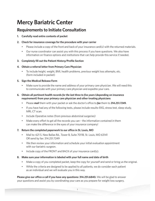# **Mercy Bariatric Center**

# **Requirements to Initiate Consultation**

**1. Carefully read entire contents of packet**

#### **2. Check for insurance coverage for the procedure with your carrier**

- Please include a copy of the front and back of your insurance card(s) with the returned materials.
- Our nurse coordinator can assist you with this process if you have questions. We also have information on finance options and institutions that can help provide this service if needed.

#### **3. Completely fill out the Patient History/Profile Section**

#### **4. Obtain a referral letter from Primary Care Physician**

• To include height, weight, BMI, health problems, previous weight loss attempts, etc. (form included in packet)

#### **5. Sign the Medical Release Form**

• Make sure to provide the name and address of your primary care physician. We will need this to communicate with your primary care physician and expedite your care.

#### **6. Obtain all pertinent health records** *for the last three to five years* **(depending on insurance requirement) from your primary care physician and other treating physicians**

- Please *mail* them with your packet or ask the doctor's office to *fax* them to *314.251.7249.*
- If you have had any of the following tests, please include results-EKG, stress test, sleep study, MRI, CT scan.
- Include Operative notes (from previous abdominal surgeries)
- Make every effort to get all the records you can the information contained in them can make the difference in the eyes of your insurance company!

#### **7. Return the completed paperwork to our office in St. Louis, MO**

- Mail to: 621 S. New Ballas Rd., Tower B, Suite 7011B, St. Louis, MO 63141 OR send by fax: 314.251.7249
- We then review your information and schedule your initial evaluation appointment with our bariatric surgeon.
- Include copy of the FRONT and BACK of your insurance card(s).

#### **8. Make sure your information is labeled with your full name and date of birth**

- Make a copy of you completed packet, keep the copy for yourself and send or bring us the original.
- While the criteria are designed to be applied to all patients, we do consider each patient as an individual and we will evaluate you in this way.

**Please give our office a call if you have any questions: 314.251.6840.** We will be glad to answer your questions and assist you by coordinating your care as you prepare for weight loss surgery.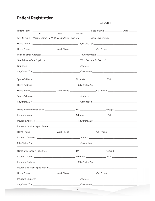# **Patient Registration**

| Last                                                      | First | <u>and the state</u><br>Middle |  |
|-----------------------------------------------------------|-------|--------------------------------|--|
| Sex: M Or F Marital Status: S M D W X (Please Circle One) |       |                                |  |
|                                                           |       |                                |  |
|                                                           |       |                                |  |
|                                                           |       |                                |  |
|                                                           |       |                                |  |
|                                                           |       |                                |  |
|                                                           |       |                                |  |
|                                                           |       |                                |  |
|                                                           |       |                                |  |
|                                                           |       |                                |  |
|                                                           |       |                                |  |
|                                                           |       |                                |  |
|                                                           |       |                                |  |
|                                                           |       |                                |  |
|                                                           |       |                                |  |
|                                                           |       |                                |  |
|                                                           |       |                                |  |
|                                                           |       |                                |  |
|                                                           |       |                                |  |
|                                                           |       |                                |  |
|                                                           |       |                                |  |
|                                                           |       |                                |  |
|                                                           |       |                                |  |
|                                                           |       |                                |  |
|                                                           |       |                                |  |
|                                                           |       |                                |  |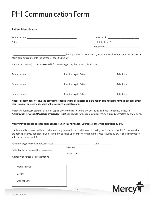# PHI Communication Form

#### **Patient Identification**

|                                                                                                                      |                                                                                               | Date of Birth: <u>______________________________</u> |
|----------------------------------------------------------------------------------------------------------------------|-----------------------------------------------------------------------------------------------|------------------------------------------------------|
|                                                                                                                      |                                                                                               | Last 4 digits of SSN: _________________________      |
| <u> 1989 - Andrea Santa Andrea Andrea Andrea Andrea Andrea Andrea Andrea Andrea Andrea Andrea Andrea Andrea Andr</u> |                                                                                               |                                                      |
| of my care or treatment to the person(s) specified below.                                                            | Authorized person(s) to receive <b>verbal</b> information regarding the above patient's care: |                                                      |
| <b>Printed Name</b>                                                                                                  | Relationship to Patient                                                                       | Telephone                                            |
| <b>Printed Name</b>                                                                                                  | Relationship to Patient                                                                       | Telephone                                            |
| <b>Printed Name</b>                                                                                                  | Relationship to Patient                                                                       | Telephone                                            |

**Note: This form does not give the above referenced persons permission to make health care decisions for the patient or entitle them to paper or electronic copies of the patient's medical record.**

Mercy will not release paper or electronic copies of your medical record to any one including those listed above unless an *Authorization for Use and Disclosure of Protected Health Information* form is completed or Mercy is already permitted by law to do so.

#### **Mercy may still speak to other persons not listed on this form about your care if otherwise permitted by law.**

I understand I may revoke this authorization at any time and Mercy will cease discussing my Protected Health Information with the above person(s) upon receipt, unless otherwise relied upon or if Mercy is not otherwise required by law to share information with the above person(s).

| Patient or Legal Personal Representative: ________ |                     | Date: Date: |
|----------------------------------------------------|---------------------|-------------|
|                                                    | Signature           |             |
|                                                    |                     |             |
|                                                    | <b>Printed Name</b> |             |
|                                                    |                     |             |
|                                                    |                     |             |
|                                                    |                     |             |
| Patient Name:                                      |                     |             |
|                                                    |                     |             |

MRN#:

Date of Birth:

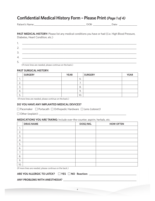# **Confidential Medical History Form – Please Print** *(Page 1 of 4)*

| Pati<br>$-1$<br>ີ່ | - |  |
|--------------------|---|--|
|                    |   |  |

PAST MEDICAL HISTORY: Please list any medical conditions you have or had ((i.e. High Blood Pressure, Diabetes, Heart Condition, etc.)

| ٠. |  |
|----|--|
| 2. |  |
| 3. |  |
| 4. |  |
| 5. |  |

(If more lines are needed, please continue on the back.)

#### **PAST SURGICAL HISTORY:**

|                    | <b>SURGERY</b> | <b>YEAR</b> |               | <b>SURGERY</b> | <b>YEAR</b> |
|--------------------|----------------|-------------|---------------|----------------|-------------|
| . .                |                |             | ь.            |                |             |
| ⌒<br><u>L.</u>     |                |             | $\prime\cdot$ |                |             |
| ⌒<br>، ب           |                |             | 8.            |                |             |
| 4.                 |                |             | 9.            |                |             |
| -<br>∽<br><u>.</u> |                |             | 10.           |                |             |

(If more lines are needed, please continue on the back.)

#### **DO YOU HAVE ANY IMPLANTED MEDICAL DEVICES?**

□ Pacemaker □ Portacath □ Orthopedic Hardware □ Lens *(cataract)* 

Other (explain): \_\_\_\_\_\_\_\_\_\_\_\_\_\_\_\_\_\_\_\_\_\_\_\_\_\_\_\_\_\_\_\_\_\_\_\_\_\_\_\_\_\_\_\_\_\_\_\_\_\_\_\_\_\_\_\_\_\_\_\_\_\_\_\_\_\_\_\_

#### **MEDICATIONS YOU ARE TAKING:** Include over-the-counter, aspirin, herbals, etc.

|         | <b>DRUG NAME</b> | DOSE/MG. | <b>HOW OFTEN</b> |
|---------|------------------|----------|------------------|
| ┓<br>ι. |                  |          |                  |
| 2.      |                  |          |                  |
| 3.      |                  |          |                  |
| 4.      |                  |          |                  |
| 5.      |                  |          |                  |
| 6.      |                  |          |                  |
| 7.      |                  |          |                  |
| 8.      |                  |          |                  |
| 9.      |                  |          |                  |
| 10.     |                  |          |                  |

(If more lines are needed, please continue on the back.)

ARE YOU ALLERGIC TO LATEX? □ YES □ NO Reaction: \_\_\_\_\_\_\_\_\_\_\_\_\_\_\_\_\_\_\_\_\_\_\_\_\_\_\_\_\_\_\_\_

#### **ANY PROBLEMS WITH ANESTHESIA?** \_\_\_\_\_\_\_\_\_\_\_\_\_\_\_\_\_\_\_\_\_\_\_\_\_\_\_\_\_\_\_\_\_\_\_\_\_\_\_\_\_\_\_\_\_\_\_\_\_\_\_\_\_\_\_\_\_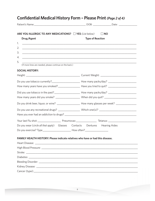# **Confidential Medical History Form – Please Print** *(Page 2 of 4)*

| ARE YOU ALLERGIC TO ANY MEDICATIONS? The YES (List below)                                                                   | $\Box$ NO                                                                                                                                 |
|-----------------------------------------------------------------------------------------------------------------------------|-------------------------------------------------------------------------------------------------------------------------------------------|
| Drug/Agent                                                                                                                  | <b>Type of Reaction</b>                                                                                                                   |
| 1.<br><u> 1990 - Johann Stoff, deutscher Stoff, der Stoff, der Stoff, der Stoff, der Stoff, der Stoff, der Stoff, der S</u> |                                                                                                                                           |
| 2.                                                                                                                          |                                                                                                                                           |
| 3.                                                                                                                          | ,我们也不能在这里的时候,我们也不能在这里的时候,我们也不能会在这里的时候,我们也不能会在这里的时候,我们也不能会在这里的时候,我们也不能会在这里的时候,我们也                                                          |
| 4.                                                                                                                          | ,我们也不能在这里的时候,我们也不能在这里的时候,我们也不能会不能会不能会不能会不能会不能会不能会不能会。<br>第2012章 我们的时候,我们的时候,我们的时候,我们的时候,我们的时候,我们的时候,我们的时候,我们的时候,我们的时候,我们的时候,我们的时候,我们的时候,我 |
| 5.                                                                                                                          | <u> 1989 - Johann Stoff, Amerikaansk politiker († 1908)</u>                                                                               |
| (If more lines are needed, please continue on the back.)                                                                    |                                                                                                                                           |
| <b>SOCIAL HISTORY:</b>                                                                                                      |                                                                                                                                           |
|                                                                                                                             |                                                                                                                                           |
|                                                                                                                             |                                                                                                                                           |
|                                                                                                                             |                                                                                                                                           |
|                                                                                                                             |                                                                                                                                           |
|                                                                                                                             |                                                                                                                                           |
|                                                                                                                             |                                                                                                                                           |
| Do you drink beer, liquor, or wine? ________________________ How many glasses per week? __________________                  |                                                                                                                                           |
|                                                                                                                             |                                                                                                                                           |
|                                                                                                                             |                                                                                                                                           |
|                                                                                                                             |                                                                                                                                           |
| Do you wear (circle all that apply) Glasses Contacts Dentures Hearing Aides                                                 |                                                                                                                                           |
|                                                                                                                             |                                                                                                                                           |
|                                                                                                                             |                                                                                                                                           |
| FAMILY HEALTH HISTORY: Please indicate relatives who have or had this disease.                                              |                                                                                                                                           |
|                                                                                                                             |                                                                                                                                           |
|                                                                                                                             |                                                                                                                                           |
|                                                                                                                             |                                                                                                                                           |
|                                                                                                                             |                                                                                                                                           |
|                                                                                                                             |                                                                                                                                           |
|                                                                                                                             |                                                                                                                                           |
|                                                                                                                             |                                                                                                                                           |

5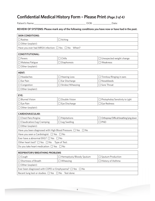### **Confidential Medical History Form – Please Print** *(Page 3 of 4)*

Patient's Name:\_\_\_\_\_\_\_\_\_\_\_\_\_\_\_\_\_\_\_\_\_\_\_\_\_\_\_\_\_\_\_\_\_\_\_\_\_\_\_\_\_\_ DOB: \_\_\_\_\_\_\_\_\_\_\_\_\_\_\_Date:

 $\overline{\phantom{a}}$ 

**REVIEW OF SYSTEMS: Please mark any of the following conditions you have now or have had in the past.**

| <b>SKIN CONDITIONS:</b>                                                |                            |                                                       |  |  |  |
|------------------------------------------------------------------------|----------------------------|-------------------------------------------------------|--|--|--|
| Rashes                                                                 | $\Box$ Itching             |                                                       |  |  |  |
| $\Box$ Other (explain):                                                |                            |                                                       |  |  |  |
| Have you ever had MRSA infection: □ Yes □ No When?                     |                            |                                                       |  |  |  |
|                                                                        |                            |                                                       |  |  |  |
| <b>CONSTITUTIONAL:</b><br>$\Box$ Fevers                                | $\Box$ Chills              |                                                       |  |  |  |
|                                                                        |                            | $\Box$ Unexpected weight change<br>$\square$ Weakness |  |  |  |
| $\Box$ Malaise/Fatigue                                                 | $\Box$ Diaphoresis         |                                                       |  |  |  |
| Other (explain):                                                       |                            |                                                       |  |  |  |
| <b>HENT:</b>                                                           |                            |                                                       |  |  |  |
| Headaches                                                              | $\Box$ Hearing Loss        | Tinnitus/Ringing in ears                              |  |  |  |
| Ear Pain                                                               | $\square$ Ear Discharge    | Nosebleeds                                            |  |  |  |
| Congestion                                                             | □ Stridor/Wheezing         | $\Box$ Sore Throat                                    |  |  |  |
| $\Box$ Other (explain):                                                |                            |                                                       |  |  |  |
| EYE:                                                                   |                            |                                                       |  |  |  |
| <b>Blurred Vision</b>                                                  | □ Double Vision            | Photophobia/Sensitivity to Light                      |  |  |  |
| $\square$ Eye Pain                                                     | $\Box$ Eye Discharge       | Eye Redness                                           |  |  |  |
| Other (explain):                                                       |                            |                                                       |  |  |  |
|                                                                        |                            |                                                       |  |  |  |
| <b>CARDIOVASCULAR:</b>                                                 |                            |                                                       |  |  |  |
| $\square$ Chest Pain/Angina                                            | $\Box$ Palpitations        | Orthopnea/Difficult breathing lying down              |  |  |  |
| Claudication/Leg Cramping                                              | $\Box$ Leg Swelling        | <b>JPND</b>                                           |  |  |  |
| $\Box$ Other (explain):                                                |                            |                                                       |  |  |  |
| Have you been diagnosed with High Blood Pressure: $\Box$ Yes $\Box$ No |                            |                                                       |  |  |  |
| Have you seen a Cardiologist: □ Yes □ No                               |                            |                                                       |  |  |  |
| Ever have a abnormal EKG? $\Box$ Yes $\Box$ No                         |                            |                                                       |  |  |  |
| Other heart test? $\Box$ Yes $\Box$ No                                 | Type of Test:              |                                                       |  |  |  |
| Do you take heart medication: $\Box$ Yes $\Box$ No                     |                            |                                                       |  |  |  |
| RESPIRATORY/BREATHING PROBLEMS                                         |                            |                                                       |  |  |  |
| $\Box$ Cough                                                           | □ Hemoptysis/Bloody Sputum | Sputum Production                                     |  |  |  |
| Shortness of Breath<br>$\Box$ Wheezing<br>History of Asthma            |                            |                                                       |  |  |  |
| $\Box$ Other (explain):                                                |                            |                                                       |  |  |  |
| Ever been diagnosed with COPD or Emphysema? □ Yes □ No                 |                            |                                                       |  |  |  |
| Recent lung test or studies: $\Box$ Yes $\Box$ No<br>Test done:        |                            |                                                       |  |  |  |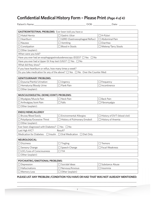# **Confidential Medical History Form – Please Print** *(Page 4 of 4)*

| Patient's Name: |  |
|-----------------|--|
|                 |  |

Patient's Name:\_\_\_\_\_\_\_\_\_\_\_\_\_\_\_\_\_\_\_\_\_\_\_\_\_\_\_\_\_\_\_\_\_\_\_\_\_\_\_\_\_\_ DOB: \_\_\_\_\_\_\_\_\_\_\_\_\_\_\_Date: \_\_\_\_\_\_\_\_\_\_\_\_\_\_

| GASTROINTESTINAL PROBLEMS: Ever been told you have a:              |                                                                                         |                               |  |  |  |
|--------------------------------------------------------------------|-----------------------------------------------------------------------------------------|-------------------------------|--|--|--|
| $\Box$ Hiatal Hernia                                               | □ Gastric Ulcer                                                                         | $\Box$ H-Pylori               |  |  |  |
| $\Box$ Heartburn                                                   | □ GERD (Gastroesophageal Reflux)                                                        | □ Abdominal Pain              |  |  |  |
| Nausea                                                             | $\Box$ Vomiting                                                                         | $\Box$ Diarrhea               |  |  |  |
| $\Box$ Constipation                                                | □ Blood in Stools                                                                       | □ Melena/Tarry Stools         |  |  |  |
| $\Box$ Other (explain):                                            |                                                                                         |                               |  |  |  |
| When were you told?                                                |                                                                                         |                               |  |  |  |
|                                                                    | Have you ever had an esophagogastroduodenoscopy (EGD)? $\Box$ Yes $\Box$ No             |                               |  |  |  |
| Have you ever had a Upper GI Xray test (UGI)? $\Box$ Yes $\Box$ No |                                                                                         |                               |  |  |  |
| What did they show?                                                |                                                                                         |                               |  |  |  |
| If you have heartburn or reflux, how many times a week?            |                                                                                         |                               |  |  |  |
|                                                                    | Do you take medication for any of the above? $\Box$ Yes $\Box$ No Over the Counter Med: |                               |  |  |  |
|                                                                    |                                                                                         |                               |  |  |  |
| <b>GENITOURINARY PROBLEMS:</b>                                     |                                                                                         |                               |  |  |  |
| $\Box$ Dysuria/Painful Urination                                   | $\Box$ Urgency                                                                          | $\Box$ Frequency              |  |  |  |
| □ Hematuria/Bloody Urine                                           | $\exists$ Flank Pain                                                                    | $\Box$ Incontinence           |  |  |  |
| Other (explain):                                                   |                                                                                         |                               |  |  |  |
| MUSCULOSKELETAL (BONE/JOINT) PROBLEMS:                             |                                                                                         |                               |  |  |  |
| □ Myalgias/Muscle Pain                                             | □ Neck Pain                                                                             | <b>Back Pain</b>              |  |  |  |
| □ Arthralgias/Joint Pain                                           | $\Box$ Falls                                                                            | $\Box$ Fibromyalgia           |  |  |  |
| Other (explain):                                                   |                                                                                         |                               |  |  |  |
|                                                                    |                                                                                         |                               |  |  |  |
| ENDO/HEME/ALLERGY                                                  |                                                                                         |                               |  |  |  |
| $\Box$ Bruise/Bleed Easily                                         | Environmental Allergies                                                                 | □ History of DVT (blood clot) |  |  |  |
| □ Polydipsia/Excessive Thirst                                      | □ History of Pulmonary Emoboli                                                          | □ History of Anemia           |  |  |  |
| $\Box$ Other (explain):                                            |                                                                                         |                               |  |  |  |
| Ever been diagnosed with Diabetes? $\Box$ Yes $\Box$ No            |                                                                                         |                               |  |  |  |
| Last Hgb A1C?                                                      | Result?                                                                                 |                               |  |  |  |
| Medication for Diabetes: □ Insulin □ Oral Medication               | □ Diet Only                                                                             |                               |  |  |  |
| <b>NEUROLOGICAL:</b>                                               |                                                                                         |                               |  |  |  |
| $\square$ Dizziness                                                | $\Box$ Tingling                                                                         | Tremors                       |  |  |  |
| Sensory Change                                                     | $\Box$ Speech Change                                                                    | $\square$ Focal Weakness      |  |  |  |
| □ LOC/Loss of Consciousness                                        | $\Box$ TIA                                                                              |                               |  |  |  |
| $\Box$ Other (explain):                                            |                                                                                         |                               |  |  |  |
|                                                                    |                                                                                         |                               |  |  |  |
| PSYCHIATRIC/EMOTIONAL PROBLEMS:                                    |                                                                                         |                               |  |  |  |
| Depression                                                         | Suicidal Ideas                                                                          | Substance Abuse               |  |  |  |
| $\Box$ Hallucinations                                              | $\Box$ Nervous/Anxious                                                                  | $\Box$ Insomnia               |  |  |  |
| Memory Loss                                                        | $\Box$ Other (explain)                                                                  |                               |  |  |  |

#### **PLEASE LIST ANY PROBLEM /CONDITION YOU HAVE OR HAD THAT WAS NOT ALREADY MENTIONED:** \_\_\_\_\_\_\_\_\_\_\_\_\_\_\_\_\_\_\_\_\_\_\_\_\_\_\_\_\_\_\_\_\_\_\_\_\_\_\_\_\_\_\_\_\_\_\_\_\_\_\_\_\_\_\_\_\_\_\_\_\_\_\_\_\_\_\_\_\_\_\_\_\_\_\_\_\_\_\_\_\_\_\_\_\_\_\_\_\_\_\_\_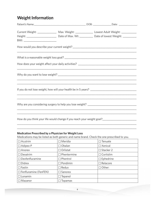# **Weight Information**

| Current Weight: _________________ Max. Weight: _______________ Lowest Adult Weight: ______________<br>BMI: ____________________________ |                                                                                  |  |  |
|-----------------------------------------------------------------------------------------------------------------------------------------|----------------------------------------------------------------------------------|--|--|
|                                                                                                                                         |                                                                                  |  |  |
|                                                                                                                                         |                                                                                  |  |  |
|                                                                                                                                         |                                                                                  |  |  |
|                                                                                                                                         | ,我们也不能在这里的时候,我们也不能在这里的时候,我们也不能会在这里的时候,我们也不能会在这里的时候,我们也不能会在这里的时候,我们也不能会在这里的时候,我们也 |  |  |
| ,我们也不能在这里的,我们也不能在这里的时候,我们也不能不能不能不能不能不能不能不能不能不能不能不能不能不能。""我们的是我们的,我们也不能不能不能不能不能不能                                                        |                                                                                  |  |  |
|                                                                                                                                         |                                                                                  |  |  |

#### **Medication Prescribed by a Physician for Weight Loss**

Medications may be listed as both generic and name brand. Check the one prescribed to you.

\_\_\_\_\_\_\_\_\_\_\_\_\_\_\_\_\_\_\_\_\_\_\_\_\_\_\_\_\_\_\_\_\_\_\_\_\_\_\_\_\_\_\_\_\_\_\_\_\_\_\_\_\_\_\_\_\_\_\_\_\_\_\_\_\_\_\_\_\_\_\_\_\_\_\_\_\_\_\_\_\_\_\_\_\_\_\_\_

| $\Box$ Acutrim               | $\Box$ Meridia     | Tenuate<br>$\blacksquare$ |
|------------------------------|--------------------|---------------------------|
| $\Box$ Adipex-P              | $\Box$ Obalan      | $\square$ Xenical         |
| $\Box$ Anorex                | $\Box$ Orlistat    | $\Box$ Stacker 2          |
| $\Box$ Dexatrim              | $\Box$ Phentermine | $\Box$ Coritslim          |
| $\Box$ Dexfenfluramine       | $\Box$ Phentrol    | $\Box$ Ephedrine          |
| $\Box$ Didrex                | $\Box$ Pondimin    | $\Box$ Relacore           |
| $\Box$ Fastin                | $\Box$ Redux       | $\Box$ Other:             |
| $\Box$ Fenfluramine (FenFEN) | $\Box$ Sanorex     |                           |
| $\Box$ Lonamin               | Tepanol<br>$\Box$  |                           |
| $\Box$ Mazanor               | Topamax            |                           |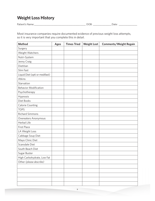# **Weight Loss History**

Patient's Name:\_\_\_\_\_\_\_\_\_\_\_\_\_\_\_\_\_\_\_\_\_\_\_\_\_\_\_\_\_\_\_\_\_\_\_\_\_\_\_\_\_\_ DOB: \_\_\_\_\_\_\_\_\_\_\_\_\_\_\_Date: \_\_\_\_\_\_\_\_\_\_\_\_\_\_\_

Most insurance companies require documented evidence of previous weight loss attempts, so it is very important that you complete this in detail.

| <b>Method</b>                  | <b>Ages</b> | <b>Times Tried</b> | <b>Weight Lost</b> | <b>Comments/Weight Regain</b> |
|--------------------------------|-------------|--------------------|--------------------|-------------------------------|
| Surgery                        |             |                    |                    |                               |
| Weight Watchers                |             |                    |                    |                               |
| Nutri-System                   |             |                    |                    |                               |
| Jenny Craig                    |             |                    |                    |                               |
| Dietitian                      |             |                    |                    |                               |
| Slim Fast                      |             |                    |                    |                               |
| Liquid Diet (opti or medifast) |             |                    |                    |                               |
| <b>Atkins</b>                  |             |                    |                    |                               |
| Starvation                     |             |                    |                    |                               |
| <b>Behavior Modification</b>   |             |                    |                    |                               |
| Psychotherapy                  |             |                    |                    |                               |
| Hypnosis                       |             |                    |                    |                               |
| Diet Books                     |             |                    |                    |                               |
| <b>Calorie Counting</b>        |             |                    |                    |                               |
| <b>TOPS</b>                    |             |                    |                    |                               |
| <b>Richard Simmons</b>         |             |                    |                    |                               |
| Overeaters Anonymous           |             |                    |                    |                               |
| Herbal Life                    |             |                    |                    |                               |
| <b>First Place</b>             |             |                    |                    |                               |
| LA Weight Loss                 |             |                    |                    |                               |
| Cabbage Soup Diet              |             |                    |                    |                               |
| Mayo Clinic Diet               |             |                    |                    |                               |
| Scarsdale Diet                 |             |                    |                    |                               |
| South Beach Diet               |             |                    |                    |                               |
| Sugar Buster                   |             |                    |                    |                               |
| High Carbohydrate, Low Fat     |             |                    |                    |                               |
| Other (please describe)        |             |                    |                    |                               |
|                                |             |                    |                    |                               |
|                                |             |                    |                    |                               |
|                                |             |                    |                    |                               |
|                                |             |                    |                    |                               |
|                                |             |                    |                    |                               |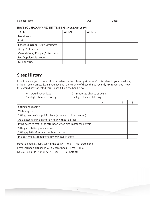| Patie<br>- 11<br>$\mathbf{v}$<br>ப | -<br>- | $\sim$ |  |
|------------------------------------|--------|--------|--|
|------------------------------------|--------|--------|--|

#### **HAVE YOU HAD ANY RECENT TESTING** *(within past year)***:**

| <b>TYPE</b>                       | <b>WHEN</b> | <b>WHERE</b> |
|-----------------------------------|-------------|--------------|
| Blood work                        |             |              |
| <b>EKG</b>                        |             |              |
| Echocardiogram (Heart Ultrasound) |             |              |
| X-rays/CT Scans                   |             |              |
| Carotid (neck) Doppler/Ultrasound |             |              |
| Leg Doppler/Ultrasound            |             |              |
| MRI or MRA                        |             |              |

### **Sleep History**

How likely are you to doze off or fall asleep in the following situations? This refers to your usual way of life in recent times. Even if you have not done some of these things recently, try to work out how they would have affected you. Please fill out the box below.

- $0 =$  would never doze  $2 =$  moderate chance of dozing
- $1 =$  slight chance of dozing  $3 =$  high chance of dozing
- 

|                                                                  | Ω | $\mathcal{P}$ |  |
|------------------------------------------------------------------|---|---------------|--|
| Sitting and reading                                              |   |               |  |
| Watching TV                                                      |   |               |  |
| Sitting, inactive in a public place (a theater, or in a meeting) |   |               |  |
| As a passenger in a car for an hour without a break              |   |               |  |
| Lying down to rest in the afternoon when circumstances permit    |   |               |  |
| Sitting and talking to someone                                   |   |               |  |
| Sitting quietly after lunch without alcohol                      |   |               |  |
| In a car, while stopped for a few minutes in traffic             |   |               |  |

| Have you had a Sleep Study in the past? $\Box$ Yes $\Box$ No Date done: |
|-------------------------------------------------------------------------|
| Have you been diagnosed with Sleep Apnea: $\Box$ Yes $\Box$ No          |
| Do you use a CPAP or BiPAP? $\Box$ Yes $\Box$ No Setting:               |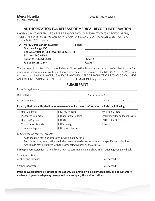**Mercy Hospital Mercy Hospital Date & Time Received:** 

#### St. Louis, Missouri

#### **AUTHORIZATION FOR RELEASE OF MEDICAL RECORD INFORMATION**

*I HEREBY GRANT MY PERMISSION FOR RELEASE OF MEDICAL INFORMATION FOR A PERIOD OF (3-5) THREE-FIVE YEARS FROM THE DATE OF MY SIGNATURE BELOW RELATING TO MY CARE FROM AND TO THE FOLLOWING PARTIES:*

| <b>TO: Mercy Clinic Bariatric Surgery</b>     | <b>FROM:</b> |            |
|-----------------------------------------------|--------------|------------|
| <b>Matthew Lange, DO</b>                      |              |            |
| 621 S. New Ballas Rd.   Tower B   Suite 7011B |              |            |
| <b>St. Louis, MO 63141</b>                    |              |            |
| Phone #: 314.251.6840                         |              | Phone #:   |
| Fax #: 314,251,7249                           |              | Fax $\#$ : |

The purpose of this Authorization for Release of Information is to provide continuity of my health care, for processing insurance claims or to meet another specific desire of mine. THIS INFORMATION MAY include treatment or rehabilitation of DRUG AND/OR ALCOHOL ABUSE, PSYCHIATRIC, PSYCHOLOGICAL, AIDS AND/OR HIV TESTING OR GENETIC TESTING INFORMATION if they do occur.

#### **PLEASE PRINT**

| Patient's Legal Name: |       |                    |      |  |
|-----------------------|-------|--------------------|------|--|
| Date of Birth:        |       | Social Security #: |      |  |
| Patient's Address:    | Citv: | State:             | /in' |  |

**I specify that this authorization for release of medical record information include the following:**

| $\Box$ Final Diagnosis      | $\Box$ X-ray Reports      | $\Box$ Physician Orders      |
|-----------------------------|---------------------------|------------------------------|
| $\Box$ Discharge Summary    | $\Box$ Laboratory Reports | □ Emergency Room Record/Date |
| $\Box$ History/Physical     | $\Box$ ekg                | $\Box$ ENTIRE RECORD         |
| $\Box$ Consultation Reports | $\Box$ Pathology          | □ Other                      |
| $\Box$ Operative Reports    | $\Box$ Progress Notes     |                              |

#### *I UNDERSTAND THE FOLLOWING:*

- Authorization may be withdrawn in writing at any time.
- Recipients of my information are forbidden from re-disclosure without my specific authorization.
- A facsimile may be utilized with the same effectiveness as the original.

I also give permission for my health care team to communicate and share information regarding my health.

Signature of Person Authorizing Release: \_\_\_\_\_\_\_\_\_\_\_\_\_\_\_\_\_\_\_\_\_\_\_\_\_\_\_\_\_\_\_\_\_\_\_\_\_\_\_\_\_\_\_\_\_\_\_\_\_ Date Signed:\_\_\_\_\_\_\_\_\_\_\_\_\_\_\_\_\_

Withness Signature: etc. and the state of the state of the state of the Signed:

**If the above signature is not that of the patient, explanation will be provided below and documentary evidence of guardianship may be required to accompany this authorization:**

\_\_\_\_\_\_\_\_\_\_\_\_\_\_\_\_\_\_\_\_\_\_\_\_\_\_\_\_\_\_\_\_\_\_\_\_\_\_\_\_\_\_\_\_\_\_\_\_\_\_\_\_\_\_\_\_\_\_\_\_\_\_\_\_\_\_\_\_\_\_\_\_\_\_\_\_\_\_\_\_\_\_\_\_\_\_\_\_\_\_\_\_\_\_\_\_